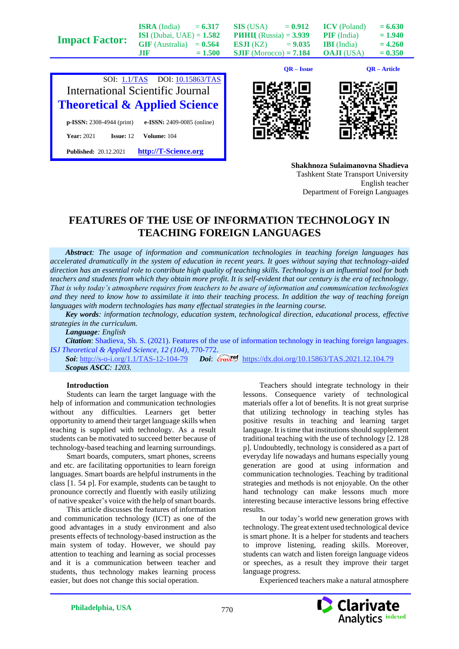|                       |                                     |           |                                      | $OR - Issue$ |                                         | $OR - Article$         |
|-----------------------|-------------------------------------|-----------|--------------------------------------|--------------|-----------------------------------------|------------------------|
| <b>Impact Factor:</b> | $GIF$ (Australia) = $0.564$<br>.TIF | $= 1.500$ | ESJI(KZ)<br>$SIIF$ (Morocco) = 7.184 | $= 9.035$    | <b>IBI</b> (India)<br><b>OAJI</b> (USA) | $= 4.260$<br>$= 0.350$ |
|                       | <b>ISI</b> (Dubai, UAE) = $1.582$   |           | <b>PHHII</b> (Russia) = $3.939$      |              | <b>PIF</b> (India)                      | $= 1.940$              |
|                       | <b>ISRA</b> (India)                 | $= 6.317$ | <b>SIS</b> (USA)                     | $= 0.912$    | <b>ICV</b> (Poland)                     | $= 6.630$              |







**Shakhnoza Sulaimanovna Shadieva** Tashkent State Transport University English teacher Department of Foreign Languages

## **FEATURES OF THE USE OF INFORMATION TECHNOLOGY IN TEACHING FOREIGN LANGUAGES**

*Abstract: The usage of information and communication technologies in teaching foreign languages has accelerated dramatically in the system of education in recent years. It goes without saying that technology-aided direction has an essential role to contribute high quality of teaching skills. Technology is an influential tool for both teachers and students from which they obtain more profit. It is self-evident that our century is the era of technology. That is why today's atmosphere requires from teachers to be aware of information and communication technologies and they need to know how to assimilate it into their teaching process. In addition the way of teaching foreign languages with modern technologies has many effectual strategies in the learning course.*

*Key words: information technology, education system, technological direction, educational process, effective strategies in the curriculum.*

*Language: English*

*Citation*: Shadieva, Sh. S. (2021). Features of the use of information technology in teaching foreign languages. *ISJ Theoretical & Applied Science, 12 (104),* 770-772.

**Soi**[: http://s-o-i.org/1.1/TAS-12-104-79](http://s-o-i.org/1.1/TAS-12-104-79) *Doi: cross*<sup>ed</sup> <https://dx.doi.org/10.15863/TAS.2021.12.104.79> *Scopus ASCC: 1203.*

## **Introduction**

Students can learn the target language with the help of information and communication technologies without any difficulties. Learners get better opportunity to amend their target language skills when teaching is supplied with technology. As a result students can be motivated to succeed better because of technology-based teaching and learning surroundings.

Smart boards, computers, smart phones, screens and etc. are facilitating opportunities to learn foreign languages. Smart boards are helpful instruments in the class [1. 54 p]. For example, students can be taught to pronounce correctly and fluently with easily utilizing of native speaker's voice with the help of smart boards.

This article discusses the features of information and communication technology (ICT) as one of the good advantages in a study environment and also presents effects of technology-based instruction as the main system of today. However, we should pay attention to teaching and learning as social processes and it is a communication between teacher and students, thus technology makes learning process easier, but does not change this social operation.

Teachers should integrate technology in their lessons. Consequence variety of technological materials offer a lot of benefits. It is not great surprise that utilizing technology in teaching styles has positive results in teaching and learning target language. It is time that institutions should supplement traditional teaching with the use of technology [2. 128 p]. Undoubtedly, technology is considered as a part of everyday life nowadays and humans especially young generation are good at using information and communication technologies. Teaching by traditional strategies and methods is not enjoyable. On the other hand technology can make lessons much more interesting because interactive lessons bring effective results.

In our today's world new generation grows with technology. The great extent used technological device is smart phone. It is a helper for students and teachers to improve listening, reading skills. Moreover, students can watch and listen foreign language videos or speeches, as a result they improve their target language progress.

Experienced teachers make a natural atmosphere

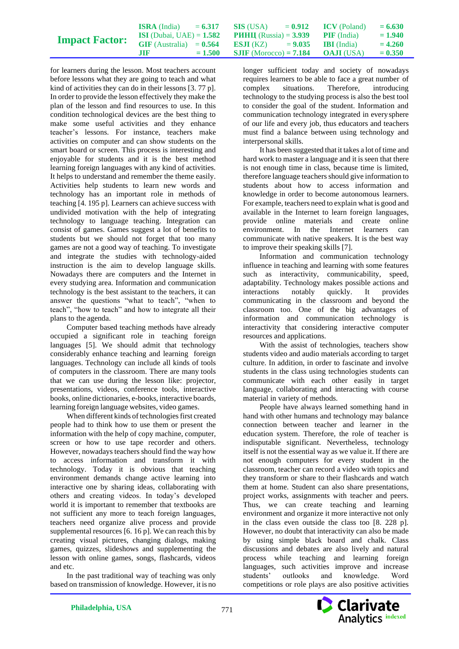| <b>Impact Factor:</b> | <b>ISRA</b> (India)<br><b>ISI</b> (Dubai, UAE) = $1.582$ | $= 6.317$ | SIS (USA)<br><b>PHHII</b> (Russia) = $3.939$ | $= 0.912$ | <b>ICV</b> (Poland)<br><b>PIF</b> (India) | $= 6.630$<br>$= 1.940$ |
|-----------------------|----------------------------------------------------------|-----------|----------------------------------------------|-----------|-------------------------------------------|------------------------|
|                       | $GIF$ (Australia) = $0.564$                              |           | <b>ESJI</b> (KZ) $= 9.035$                   |           | <b>BI</b> (India)                         | $= 4.260$              |
|                       | ШF                                                       | $= 1.500$ | <b>SJIF</b> (Morocco) = $7.184$              |           | <b>OAJI</b> (USA)                         | $= 0.350$              |

for learners during the lesson. Most teachers account before lessons what they are going to teach and what kind of activities they can do in their lessons [3. 77 p]. In order to provide the lesson effectively they make the plan of the lesson and find resources to use. In this condition technological devices are the best thing to make some useful activities and they enhance teacher's lessons. For instance, teachers make activities on computer and can show students on the smart board or screen. This process is interesting and enjoyable for students and it is the best method learning foreign languages with any kind of activities. It helps to understand and remember the theme easily. Activities help students to learn new words and technology has an important role in methods of teaching [4. 195 p]. Learners can achieve success with undivided motivation with the help of integrating technology to language teaching. Integration can consist of games. Games suggest a lot of benefits to students but we should not forget that too many games are not a good way of teaching. To investigate and integrate the studies with technology-aided instruction is the aim to develop language skills. Nowadays there are computers and the Internet in every studying area. Information and communication technology is the best assistant to the teachers, it can answer the questions "what to teach", "when to teach", "how to teach" and how to integrate all their plans to the agenda.

Computer based teaching methods have already occupied a significant role in teaching foreign languages [5]. We should admit that technology considerably enhance teaching and learning foreign languages. Technology can include all kinds of tools of computers in the classroom. There are many tools that we can use during the lesson like: projector, presentations, videos, conference tools, interactive books, online dictionaries, e-books, interactive boards, learning foreign language websites, video games.

When different kinds of technologies first created people had to think how to use them or present the information with the help of copy machine, computer, screen or how to use tape recorder and others. However, nowadays teachers should find the way how to access information and transform it with technology. Today it is obvious that teaching environment demands change active learning into interactive one by sharing ideas, collaborating with others and creating videos. In today's developed world it is important to remember that textbooks are not sufficient any more to teach foreign languages, teachers need organize alive process and provide supplemental resources [6. 16 p]. We can reach this by creating visual pictures, changing dialogs, making games, quizzes, slideshows and supplementing the lesson with online games, songs, flashcards, videos and etc.

In the past traditional way of teaching was only based on transmission of knowledge. However, it is no

longer sufficient today and society of nowadays requires learners to be able to face a great number of complex situations. Therefore, introducing technology to the studying process is also the best tool to consider the goal of the student. Information and communication technology integrated in everysphere of our life and every job, thus educators and teachers must find a balance between using technology and interpersonal skills.

It has been suggested that it takes a lot of time and hard work to master a language and it is seen that there is not enough time in class, because time is limited, therefore language teachers should give information to students about how to access information and knowledge in order to become autonomous learners. For example, teachers need to explain what is good and available in the Internet to learn foreign languages, provide online materials and create online environment. In the Internet learners can communicate with native speakers. It is the best way to improve their speaking skills [7].

Information and communication technology influence in teaching and learning with some features such as interactivity, communicability, speed, adaptability. Technology makes possible actions and interactions notably quickly. It provides communicating in the classroom and beyond the classroom too. One of the big advantages of information and communication technology is interactivity that considering interactive computer resources and applications.

With the assist of technologies, teachers show students video and audio materials according to target culture. In addition, in order to fascinate and involve students in the class using technologies students can communicate with each other easily in target language, collaborating and interacting with course material in variety of methods.

People have always learned something hand in hand with other humans and technology may balance connection between teacher and learner in the education system. Therefore, the role of teacher is indisputable significant. Nevertheless, technology itself is not the essential way as we value it. If there are not enough computers for every student in the classroom, teacher can record a video with topics and they transform or share to their flashcards and watch them at home. Student can also share presentations, project works, assignments with teacher and peers. Thus, we can create teaching and learning environment and organize it more interactive not only in the class even outside the class too [8. 228 p]. However, no doubt that interactivity can also be made by using simple black board and chalk. Class discussions and debates are also lively and natural process while teaching and learning foreign languages, such activities improve and increase students' outlooks and knowledge. Word competitions or role plays are also positive activities